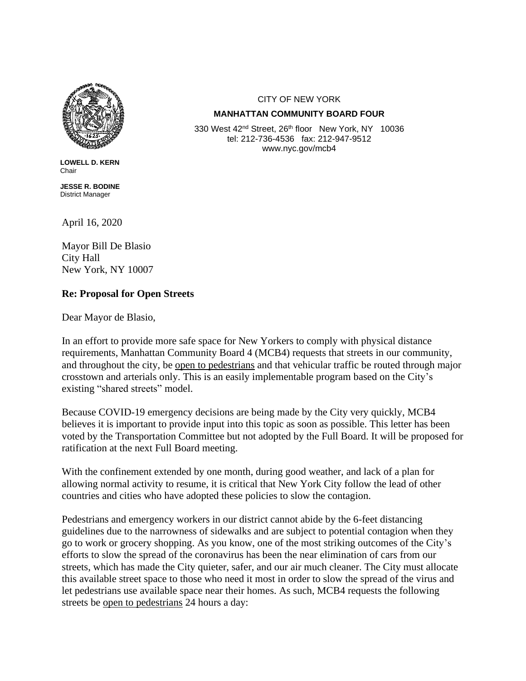

**LOWELL D. KERN** Chair

**JESSE R. BODINE** District Manager

April 16, 2020

Mayor Bill De Blasio City Hall New York, NY 10007

## **Re: Proposal for Open Streets**

Dear Mayor de Blasio,

In an effort to provide more safe space for New Yorkers to comply with physical distance requirements, Manhattan Community Board 4 (MCB4) requests that streets in our community, and throughout the city, be open to pedestrians and that vehicular traffic be routed through major crosstown and arterials only. This is an easily implementable program based on the City's existing "shared streets" model.

Because COVID-19 emergency decisions are being made by the City very quickly, MCB4 believes it is important to provide input into this topic as soon as possible. This letter has been voted by the Transportation Committee but not adopted by the Full Board. It will be proposed for ratification at the next Full Board meeting.

With the confinement extended by one month, during good weather, and lack of a plan for allowing normal activity to resume, it is critical that New York City follow the lead of other countries and cities who have adopted these policies to slow the contagion.

Pedestrians and emergency workers in our district cannot abide by the 6-feet distancing guidelines due to the narrowness of sidewalks and are subject to potential contagion when they go to work or grocery shopping. As you know, one of the most striking outcomes of the City's efforts to slow the spread of the coronavirus has been the near elimination of cars from our streets, which has made the City quieter, safer, and our air much cleaner. The City must allocate this available street space to those who need it most in order to slow the spread of the virus and let pedestrians use available space near their homes. As such, MCB4 requests the following streets be open to pedestrians 24 hours a day:

## CITY OF NEW YORK

## **MANHATTAN COMMUNITY BOARD FOUR**

330 West 42<sup>nd</sup> Street, 26<sup>th</sup> floor New York, NY 10036 tel: 212-736-4536 fax: 212-947-9512 www.nyc.gov/mcb4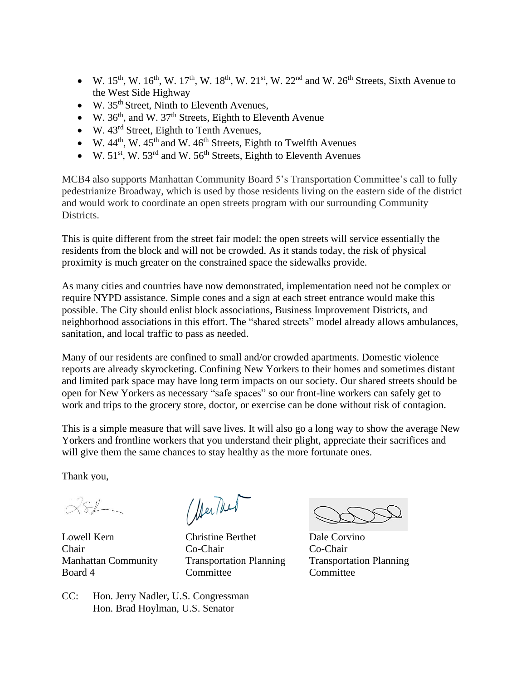- W.  $15^{th}$ , W.  $16^{th}$ , W.  $17^{th}$ , W.  $18^{th}$ , W.  $21^{st}$ , W.  $22^{nd}$  and W.  $26^{th}$  Streets, Sixth Avenue to the West Side Highway
- W.  $35<sup>th</sup>$  Street, Ninth to Eleventh Avenues,
- W.  $36<sup>th</sup>$ , and W.  $37<sup>th</sup>$  Streets, Eighth to Eleventh Avenue
- $\bullet$  W. 43<sup>rd</sup> Street, Eighth to Tenth Avenues,
- W.  $44<sup>th</sup>$ , W.  $45<sup>th</sup>$  and W.  $46<sup>th</sup>$  Streets, Eighth to Twelfth Avenues
- W.  $51<sup>st</sup>$ , W.  $53<sup>rd</sup>$  and W.  $56<sup>th</sup>$  Streets, Eighth to Eleventh Avenues

MCB4 also supports Manhattan Community Board 5's Transportation Committee's call to fully pedestrianize Broadway, which is used by those residents living on the eastern side of the district and would work to coordinate an open streets program with our surrounding Community Districts.

This is quite different from the street fair model: the open streets will service essentially the residents from the block and will not be crowded. As it stands today, the risk of physical proximity is much greater on the constrained space the sidewalks provide.

As many cities and countries have now demonstrated, implementation need not be complex or require NYPD assistance. Simple cones and a sign at each street entrance would make this possible. The City should enlist block associations, Business Improvement Districts, and neighborhood associations in this effort. The "shared streets" model already allows ambulances, sanitation, and local traffic to pass as needed.

Many of our residents are confined to small and/or crowded apartments. Domestic violence reports are already skyrocketing. Confining New Yorkers to their homes and sometimes distant and limited park space may have long term impacts on our society. Our shared streets should be open for New Yorkers as necessary "safe spaces" so our front-line workers can safely get to work and trips to the grocery store, doctor, or exercise can be done without risk of contagion.

This is a simple measure that will save lives. It will also go a long way to show the average New Yorkers and frontline workers that you understand their plight, appreciate their sacrifices and will give them the same chances to stay healthy as the more fortunate ones.

Thank you,

 $221$ 

(Alex Nech

Lowell Kern Christine Berthet Dale Corvino Chair Co-Chair Co-Chair Board 4 Committee Committee Committee

Manhattan Community Transportation Planning Transportation Planning

CC: Hon. Jerry Nadler, U.S. Congressman Hon. Brad Hoylman, U.S. Senator